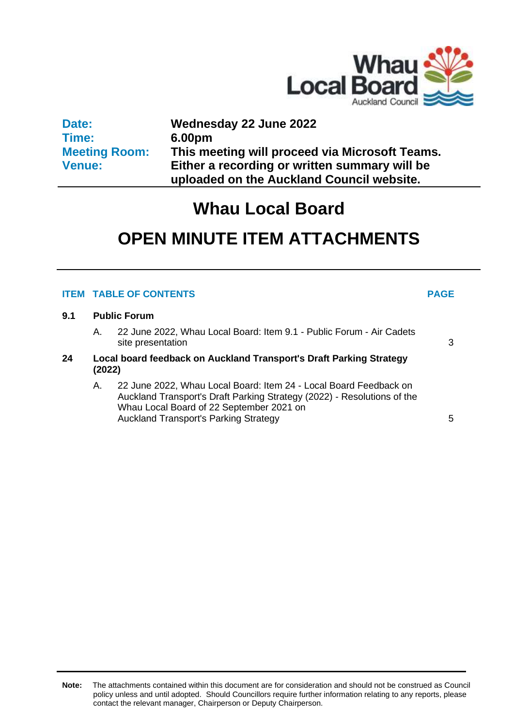

**Date: Time: Meeting Room: Venue: Wednesday 22 June 2022 6.00pm This meeting will proceed via Microsoft Teams. Either a recording or written summary will be uploaded on the Auckland Council website.**

## **Whau Local Board**

# **OPEN MINUTE ITEM ATTACHMENTS**

### **ITEM TABLE OF CONTENTS PAGE**

#### **9.1 Public Forum**

- A. 22 June 2022, Whau Local Board: Item 9.1 Public Forum Air Cadets site presentation [3](#page-2-0)
- **24 Local board feedback on Auckland Transport's Draft Parking Strategy (2022)**
	- A. 22 June 2022, Whau Local Board: Item 24 Local Board Feedback on Auckland Transport's Draft Parking Strategy (2022) - Resolutions of the Whau Local Board of 22 September 2021 on Auckland Transport's Parking Strategy **[5](#page-4-0)**

**Note:** The attachments contained within this document are for consideration and should not be construed as Council policy unless and until adopted. Should Councillors require further information relating to any reports, please contact the relevant manager, Chairperson or Deputy Chairperson.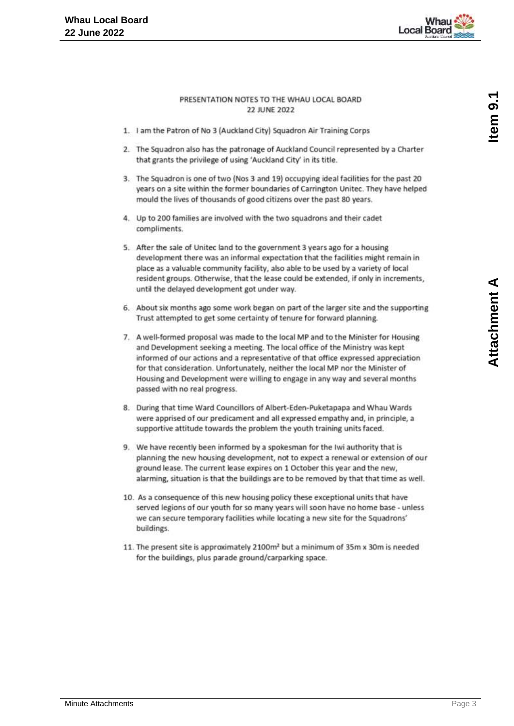

#### PRESENTATION NOTES TO THE WHAU LOCAL BOARD **22 JUNE 2022**

- <span id="page-2-0"></span>1. I am the Patron of No 3 (Auckland City) Squadron Air Training Corps
- 2. The Squadron also has the patronage of Auckland Council represented by a Charter that grants the privilege of using 'Auckland City' in its title.
- 3. The Squadron is one of two (Nos 3 and 19) occupying ideal facilities for the past 20 years on a site within the former boundaries of Carrington Unitec. They have helped mould the lives of thousands of good citizens over the past 80 years.
- 4. Up to 200 families are involved with the two squadrons and their cadet compliments.
- 5. After the sale of Unitec land to the government 3 years ago for a housing development there was an informal expectation that the facilities might remain in place as a valuable community facility, also able to be used by a variety of local resident groups. Otherwise, that the lease could be extended, if only in increments, until the delayed development got under way.
- 6. About six months ago some work began on part of the larger site and the supporting Trust attempted to get some certainty of tenure for forward planning.
- 7. A well-formed proposal was made to the local MP and to the Minister for Housing and Development seeking a meeting. The local office of the Ministry was kept informed of our actions and a representative of that office expressed appreciation for that consideration. Unfortunately, neither the local MP nor the Minister of Housing and Development were willing to engage in any way and several months passed with no real progress.
- 8. During that time Ward Councillors of Albert-Eden-Puketapapa and Whau Wards were apprised of our predicament and all expressed empathy and, in principle, a supportive attitude towards the problem the youth training units faced.
- 9. We have recently been informed by a spokesman for the Iwi authority that is planning the new housing development, not to expect a renewal or extension of our ground lease. The current lease expires on 1 October this year and the new, alarming, situation is that the buildings are to be removed by that that time as well.
- 10. As a consequence of this new housing policy these exceptional units that have served legions of our youth for so many years will soon have no home base - unless we can secure temporary facilities while locating a new site for the Squadrons' buildings.
- 11. The present site is approximately 2100m<sup>2</sup> but a minimum of 35m x 30m is needed for the buildings, plus parade ground/carparking space.

Attachment A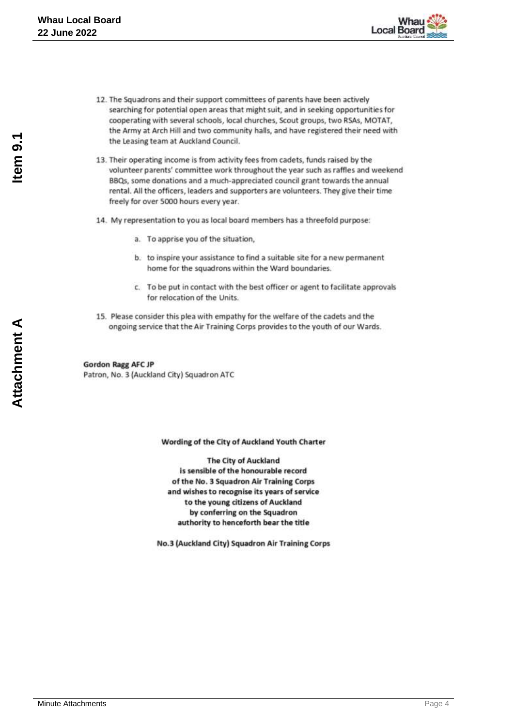

- 12. The Squadrons and their support committees of parents have been actively searching for potential open areas that might suit, and in seeking opportunities for cooperating with several schools, local churches, Scout groups, two RSAs, MOTAT, the Army at Arch Hill and two community halls, and have registered their need with the Leasing team at Auckland Council.
- 13. Their operating income is from activity fees from cadets, funds raised by the volunteer parents' committee work throughout the year such as raffles and weekend BBQs, some donations and a much-appreciated council grant towards the annual rental. All the officers, leaders and supporters are volunteers. They give their time freely for over 5000 hours every year.
- 14. My representation to you as local board members has a threefold purpose:
	- a. To apprise you of the situation,
	- b. to inspire your assistance to find a suitable site for a new permanent home for the squadrons within the Ward boundaries.
	- c. To be put in contact with the best officer or agent to facilitate approvals for relocation of the Units.
- 15. Please consider this plea with empathy for the welfare of the cadets and the ongoing service that the Air Training Corps provides to the youth of our Wards.

**Gordon Ragg AFC JP** Patron, No. 3 (Auckland City) Squadron ATC

Wording of the City of Auckland Youth Charter

**The City of Auckland** is sensible of the honourable record of the No. 3 Squadron Air Training Corps and wishes to recognise its years of service to the young citizens of Auckland by conferring on the Squadron authority to henceforth bear the title

No.3 (Auckland City) Squadron Air Training Corps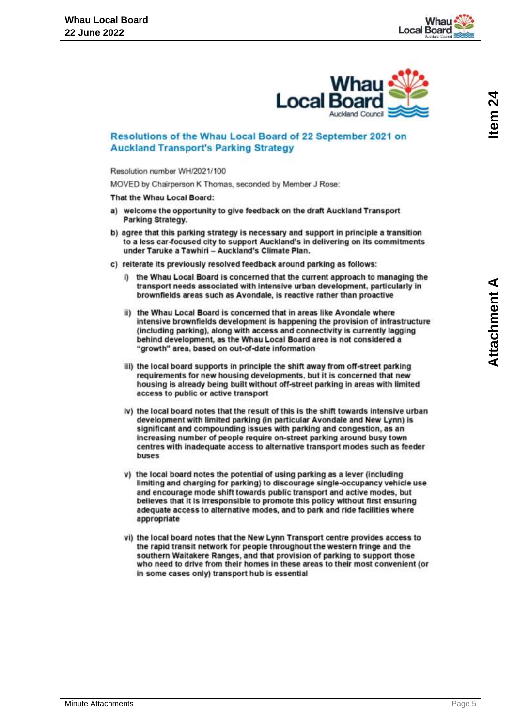

### <span id="page-4-0"></span>Resolutions of the Whau Local Board of 22 September 2021 on **Auckland Transport's Parking Strategy**

Resolution number WH/2021/100

MOVED by Chairperson K Thomas, seconded by Member J Rose:

That the Whau Local Board:

- a) welcome the opportunity to give feedback on the draft Auckland Transport Parking Strategy.
- b) agree that this parking strategy is necessary and support in principle a transition to a less car-focused city to support Auckland's in delivering on its commitments under Taruke a Tawhiri - Auckland's Climate Plan.
- c) reiterate its previously resolved feedback around parking as follows:
	- i) the Whau Local Board is concerned that the current approach to managing the transport needs associated with intensive urban development, particularly in brownfields areas such as Avondale, is reactive rather than proactive
	- ii) the Whau Local Board is concerned that in areas like Avondale where intensive brownfields development is happening the provision of infrastructure (including parking), along with access and connectivity is currently lagging behind development, as the Whau Local Board area is not considered a "growth" area, based on out-of-date information
	- iii) the local board supports in principle the shift away from off-street parking requirements for new housing developments, but it is concerned that new housing is already being built without off-street parking in areas with limited access to public or active transport
	- iv) the local board notes that the result of this is the shift towards intensive urban development with limited parking (in particular Avondale and New Lynn) is significant and compounding issues with parking and congestion, as an increasing number of people require on-street parking around busy town centres with inadequate access to alternative transport modes such as feeder buses
	- v) the local board notes the potential of using parking as a lever (including limiting and charging for parking) to discourage single-occupancy vehicle use and encourage mode shift towards public transport and active modes, but believes that it is irresponsible to promote this policy without first ensuring adequate access to alternative modes, and to park and ride facilities where appropriate
	- vi) the local board notes that the New Lynn Transport centre provides access to the rapid transit network for people throughout the western fringe and the southern Waitakere Ranges, and that provision of parking to support those who need to drive from their homes in these areas to their most convenient (or in some cases only) transport hub is essential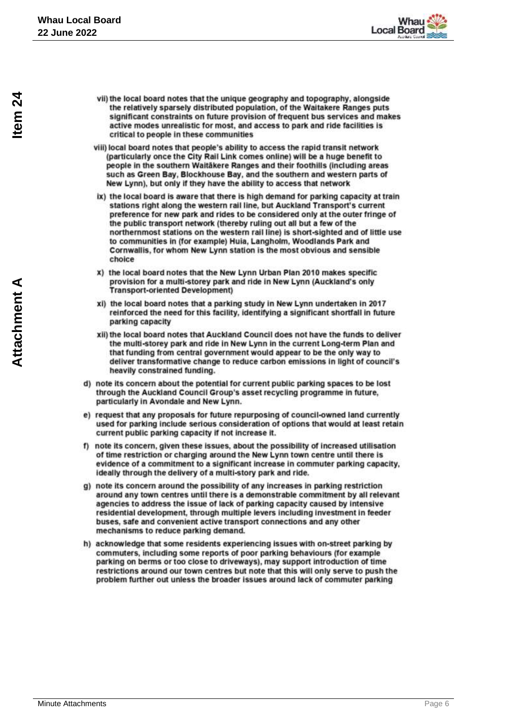

- vii) the local board notes that the unique geography and topography, alongside the relatively sparsely distributed population, of the Waitakere Ranges puts significant constraints on future provision of frequent bus services and makes active modes unrealistic for most, and access to park and ride facilities is critical to people in these communities
- viii) local board notes that people's ability to access the rapid transit network (particularly once the City Rail Link comes online) will be a huge benefit to people in the southern Waitäkere Ranges and their foothills (including areas such as Green Bay, Blockhouse Bay, and the southern and western parts of New Lynn), but only if they have the ability to access that network
- ix) the local board is aware that there is high demand for parking capacity at train stations right along the western rail line, but Auckland Transport's current preference for new park and rides to be considered only at the outer fringe of the public transport network (thereby ruling out all but a few of the northernmost stations on the western rail line) is short-sighted and of little use to communities in (for example) Huia, Langholm, Woodlands Park and Cornwallis, for whom New Lynn station is the most obvious and sensible choice
- x) the local board notes that the New Lynn Urban Plan 2010 makes specific provision for a multi-storey park and ride in New Lynn (Auckland's only **Transport-oriented Development)**
- xi) the local board notes that a parking study in New Lynn undertaken in 2017 reinforced the need for this facility, identifying a significant shortfall in future parking capacity
- xii) the local board notes that Auckland Council does not have the funds to deliver the multi-storey park and ride in New Lynn in the current Long-term Plan and that funding from central government would appear to be the only way to deliver transformative change to reduce carbon emissions in light of council's heavily constrained funding.
- d) note its concern about the potential for current public parking spaces to be lost through the Auckland Council Group's asset recycling programme in future. particularly in Avondale and New Lynn.
- e) request that any proposals for future repurposing of council-owned land currently used for parking include serious consideration of options that would at least retain current public parking capacity if not increase it.
- f) note its concern, given these issues, about the possibility of increased utilisation of time restriction or charging around the New Lynn town centre until there is evidence of a commitment to a significant increase in commuter parking capacity, ideally through the delivery of a multi-story park and ride.
- g) note its concern around the possibility of any increases in parking restriction around any town centres until there is a demonstrable commitment by all relevant agencies to address the issue of lack of parking capacity caused by intensive residential development, through multiple levers including investment in feeder buses, safe and convenient active transport connections and any other mechanisms to reduce parking demand.
- h) acknowledge that some residents experiencing issues with on-street parking by commuters, including some reports of poor parking behaviours (for example parking on berms or too close to driveways), may support introduction of time restrictions around our town centres but note that this will only serve to push the problem further out unless the broader issues around lack of commuter parking